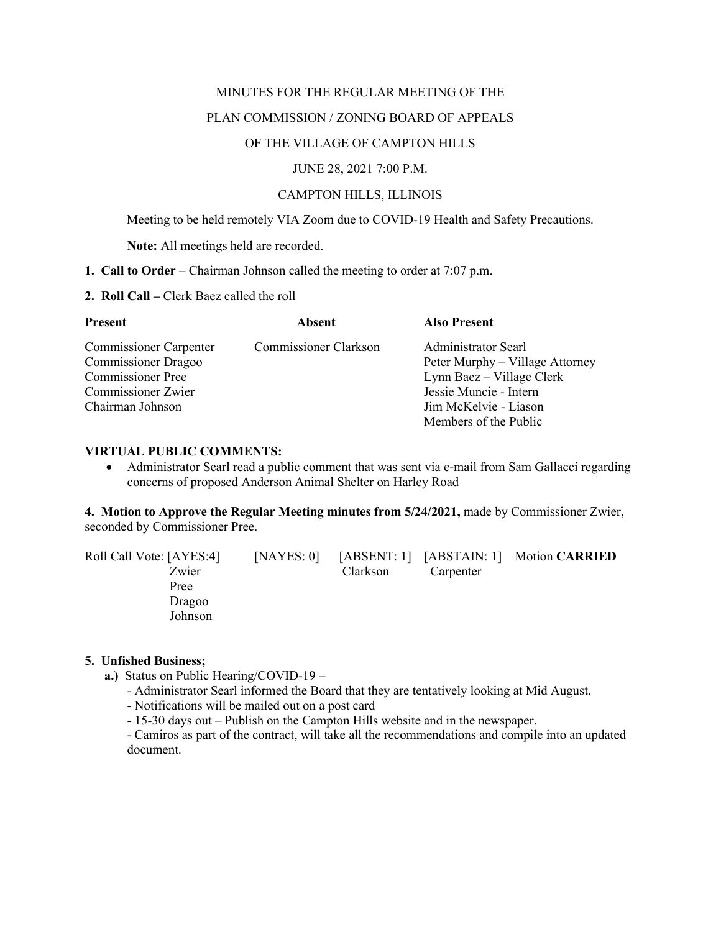#### MINUTES FOR THE REGULAR MEETING OF THE

#### PLAN COMMISSION / ZONING BOARD OF APPEALS

## OF THE VILLAGE OF CAMPTON HILLS

#### JUNE 28, 2021 7:00 P.M.

## CAMPTON HILLS, ILLINOIS

Meeting to be held remotely VIA Zoom due to COVID-19 Health and Safety Precautions.

**Note:** All meetings held are recorded.

- **1. Call to Order** Chairman Johnson called the meeting to order at 7:07 p.m.
- **2. Roll Call –** Clerk Baez called the roll

| <b>Present</b>                | <b>Absent</b>                | <b>Also Present</b>             |
|-------------------------------|------------------------------|---------------------------------|
| <b>Commissioner Carpenter</b> | <b>Commissioner Clarkson</b> | <b>Administrator Searl</b>      |
| <b>Commissioner Dragoo</b>    |                              | Peter Murphy – Village Attorney |
| <b>Commissioner Pree</b>      |                              | Lynn Baez – Village Clerk       |
| Commissioner Zwier            |                              | Jessie Muncie - Intern          |
| Chairman Johnson              |                              | Jim McKelvie - Liason           |
|                               |                              | Members of the Public           |

#### **VIRTUAL PUBLIC COMMENTS:**

• Administrator Searl read a public comment that was sent via e-mail from Sam Gallacci regarding concerns of proposed Anderson Animal Shelter on Harley Road

**4. Motion to Approve the Regular Meeting minutes from 5/24/2021,** made by Commissioner Zwier, seconded by Commissioner Pree.

| Roll Call Vote: [AYES:4] | [NAYES: 0] |                 |           | [ABSENT: 1] [ABSTAIN: 1] Motion CARRIED |
|--------------------------|------------|-----------------|-----------|-----------------------------------------|
| Zwier                    |            | <b>Clarkson</b> | Carpenter |                                         |
| Pree                     |            |                 |           |                                         |
| Dragoo                   |            |                 |           |                                         |
| Johnson                  |            |                 |           |                                         |

## **5. Unfished Business;**

- **a.)** Status on Public Hearing/COVID-19
	- Administrator Searl informed the Board that they are tentatively looking at Mid August.
	- Notifications will be mailed out on a post card
	- 15-30 days out Publish on the Campton Hills website and in the newspaper.

- Camiros as part of the contract, will take all the recommendations and compile into an updated document.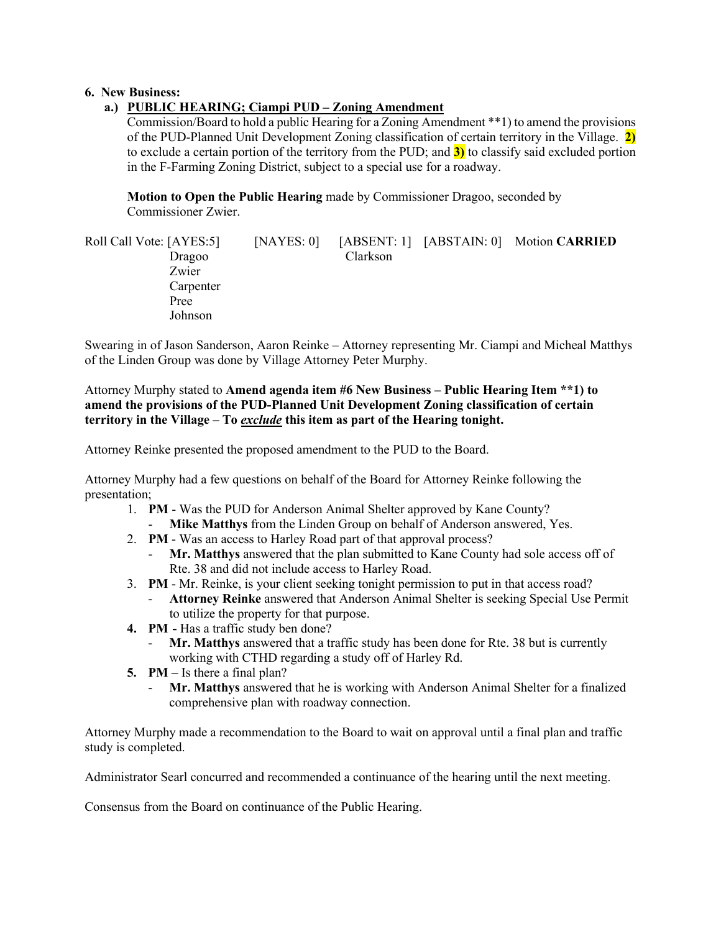## **6. New Business:**

# **a.) PUBLIC HEARING; Ciampi PUD – Zoning Amendment**

Commission/Board to hold a public Hearing for a Zoning Amendment \*\*1) to amend the provisions of the PUD-Planned Unit Development Zoning classification of certain territory in the Village. **2)** to exclude a certain portion of the territory from the PUD; and **3)** to classify said excluded portion in the F-Farming Zoning District, subject to a special use for a roadway.

**Motion to Open the Public Hearing** made by Commissioner Dragoo, seconded by Commissioner Zwier.

| Roll Call Vote: [AYES:5] | [NAYES: 0] |          | [ABSENT: 1] [ABSTAIN: 0] Motion CARRIED |
|--------------------------|------------|----------|-----------------------------------------|
| Dragoo                   |            | Clarkson |                                         |
| Zwier                    |            |          |                                         |
| Carpenter                |            |          |                                         |
| Pree                     |            |          |                                         |
| Johnson                  |            |          |                                         |

Swearing in of Jason Sanderson, Aaron Reinke – Attorney representing Mr. Ciampi and Micheal Matthys of the Linden Group was done by Village Attorney Peter Murphy.

## Attorney Murphy stated to **Amend agenda item #6 New Business – Public Hearing Item \*\*1) to amend the provisions of the PUD-Planned Unit Development Zoning classification of certain territory in the Village – To** *exclude* **this item as part of the Hearing tonight.**

Attorney Reinke presented the proposed amendment to the PUD to the Board.

Attorney Murphy had a few questions on behalf of the Board for Attorney Reinke following the presentation;

- 1. **PM** Was the PUD for Anderson Animal Shelter approved by Kane County?
	- Mike Matthys from the Linden Group on behalf of Anderson answered, Yes.
- 2. **PM** Was an access to Harley Road part of that approval process?
	- Mr. Matthys answered that the plan submitted to Kane County had sole access off of Rte. 38 and did not include access to Harley Road.
- 3. **PM** Mr. Reinke, is your client seeking tonight permission to put in that access road?
	- **Attorney Reinke** answered that Anderson Animal Shelter is seeking Special Use Permit to utilize the property for that purpose.
- **4. PM** Has a traffic study ben done?
	- Mr. Matthys answered that a traffic study has been done for Rte. 38 but is currently working with CTHD regarding a study off of Harley Rd.
- **5. PM** Is there a final plan?
	- **Mr. Matthys** answered that he is working with Anderson Animal Shelter for a finalized comprehensive plan with roadway connection.

Attorney Murphy made a recommendation to the Board to wait on approval until a final plan and traffic study is completed.

Administrator Searl concurred and recommended a continuance of the hearing until the next meeting.

Consensus from the Board on continuance of the Public Hearing.